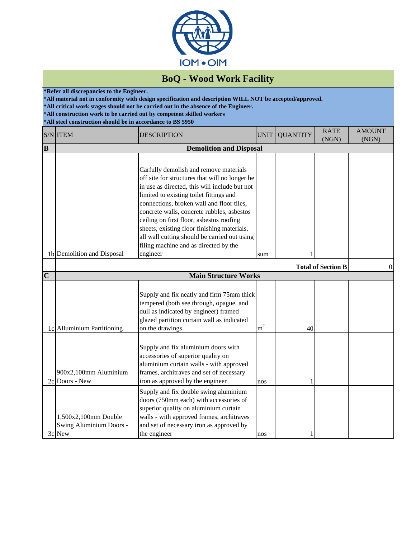

## **BoQ - Wood Work Facility**

**\*Refer all discrepancies to the Engineer.**

**\*All material not in conformity with design specification and description WILL NOT be accepted/approved.**

**\*All critical work stages should not be carried out in the absence of the Engineer.**

**\*All construction work to be carried out by competent skilled workers**

**\*All steel construction should be in accordance to BS 5950**

|                | S/N ITEM                                                  | <b>DESCRIPTION</b>                                                                                                                                                                                                                                                                                                                                                                                                                                                              | <b>UNIT</b>    | <b>QUANTITY</b> | <b>RATE</b><br>(NGN)      | <b>AMOUNT</b><br>(NGN) |  |  |
|----------------|-----------------------------------------------------------|---------------------------------------------------------------------------------------------------------------------------------------------------------------------------------------------------------------------------------------------------------------------------------------------------------------------------------------------------------------------------------------------------------------------------------------------------------------------------------|----------------|-----------------|---------------------------|------------------------|--|--|
| B              | <b>Demolition and Disposal</b>                            |                                                                                                                                                                                                                                                                                                                                                                                                                                                                                 |                |                 |                           |                        |  |  |
|                | 1b Demolition and Disposal                                | Carfully demolish and remove materials<br>off site for structures that will no longer be<br>in use as directed, this will include but not<br>limited to existing toilet fittings and<br>connections, broken wall and floor tiles,<br>concrete walls, concrete rubbles, asbestos<br>ceiling on first floor, asbestos roofing<br>sheets, existing floor finishing materials,<br>all wall cutting should be carried out using<br>filing machine and as directed by the<br>engineer | sum            |                 |                           |                        |  |  |
|                |                                                           |                                                                                                                                                                                                                                                                                                                                                                                                                                                                                 |                |                 |                           |                        |  |  |
| $\overline{C}$ |                                                           | <b>Main Structure Works</b>                                                                                                                                                                                                                                                                                                                                                                                                                                                     |                |                 | <b>Total of Section B</b> | $\overline{0}$         |  |  |
|                | 1c Alluminium Partitioning                                | Supply and fix neatly and firm 75mm thick<br>tempered (both see through, opague, and<br>dull as indicated by engineer) framed<br>glazed partition curtain wall as indicated<br>on the drawings                                                                                                                                                                                                                                                                                  | m <sup>2</sup> | 40              |                           |                        |  |  |
|                | 900x2,100mm Aluminium<br>2c Doors - New                   | Supply and fix aluminium doors with<br>accessories of superior quality on<br>aluminium curtain walls - with approved<br>frames, architraves and set of necessary<br>iron as approved by the engineer                                                                                                                                                                                                                                                                            | nos            |                 |                           |                        |  |  |
|                | 1,500x2,100mm Double<br>Swing Aluminium Doors -<br>3c New | Supply and fix double swing aluminium<br>doors (750mm each) with accessories of<br>superior quality on aluminium curtain<br>walls - with approved frames, architraves<br>and set of necessary iron as approved by<br>the engineer                                                                                                                                                                                                                                               | nos            |                 |                           |                        |  |  |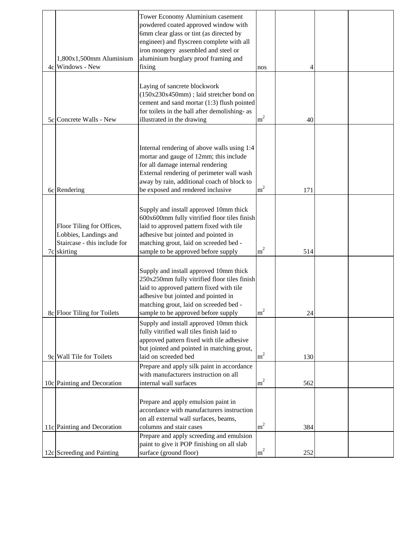|                                                                                                   | Tower Economy Aluminium casement<br>powdered coated approved window with<br>6mm clear glass or tint (as directed by<br>engineer) and flyscreen complete with all                                                                                           |                |     |  |
|---------------------------------------------------------------------------------------------------|------------------------------------------------------------------------------------------------------------------------------------------------------------------------------------------------------------------------------------------------------------|----------------|-----|--|
|                                                                                                   | iron mongery assembled and steel or                                                                                                                                                                                                                        |                |     |  |
| 1,800x1,500mm Aluminium<br>4c Windows - New                                                       | aluminium burglary proof framing and<br>fixing                                                                                                                                                                                                             | nos            |     |  |
| 5c Concrete Walls - New                                                                           | Laying of sancrete blockwork<br>(150x230x450mm); laid stretcher bond on<br>cement and sand mortar (1:3) flush pointed<br>for toilets in the hall after demolishing- as<br>illustrated in the drawing                                                       | m <sup>2</sup> | 40  |  |
| 6c Rendering                                                                                      | Internal rendering of above walls using 1:4<br>mortar and gauge of 12mm; this include<br>for all damage internal rendering<br>External rendering of perimeter wall wash<br>away by rain, additional coach of block to<br>be exposed and rendered inclusive | m <sup>2</sup> | 171 |  |
|                                                                                                   |                                                                                                                                                                                                                                                            |                |     |  |
| Floor Tiling for Offices,<br>Lobbies, Landings and<br>Staircase - this include for<br>7c skirting | Supply and install approved 10mm thick<br>600x600mm fully vitrified floor tiles finish<br>laid to approved pattern fixed with tile<br>adhesive but jointed and pointed in<br>matching grout, laid on screeded bed -<br>sample to be approved before supply | m <sup>2</sup> | 514 |  |
| 8c Floor Tiling for Toilets                                                                       | Supply and install approved 10mm thick<br>250x250mm fully vitrified floor tiles finish<br>laid to approved pattern fixed with tile<br>adhesive but jointed and pointed in<br>matching grout, laid on screeded bed -<br>sample to be approved before supply | m <sup>2</sup> | 24  |  |
| 9c Wall Tile for Toilets                                                                          | Supply and install approved 10mm thick<br>fully vitrified wall tiles finish laid to<br>approved pattern fixed with tile adhesive<br>but jointed and pointed in matching grout,<br>laid on screeded bed                                                     | m <sup>2</sup> | 130 |  |
|                                                                                                   | Prepare and apply silk paint in accordance                                                                                                                                                                                                                 |                |     |  |
| 10c Painting and Decoration                                                                       | with manufacturers instruction on all<br>internal wall surfaces                                                                                                                                                                                            | m <sup>2</sup> | 562 |  |
| 11c Painting and Decoration                                                                       | Prepare and apply emulsion paint in<br>accordance with manufacturers instruction<br>on all external wall surfaces, beams,<br>columns and stair cases                                                                                                       | m <sup>2</sup> | 384 |  |
|                                                                                                   | Prepare and apply screeding and emulsion                                                                                                                                                                                                                   |                |     |  |
| 12c Screeding and Painting                                                                        | paint to give it POP finishing on all slab<br>surface (ground floor)                                                                                                                                                                                       | m <sup>2</sup> | 252 |  |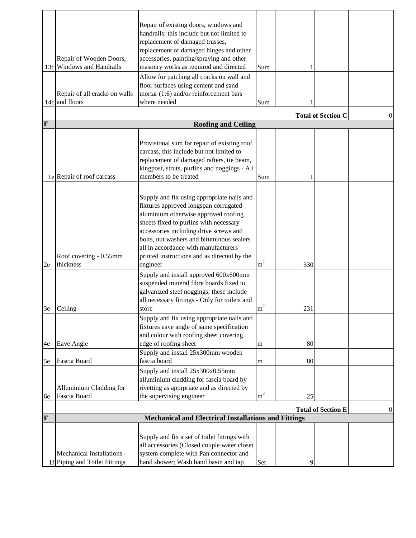|    | Repair of Wooden Doors,<br>13c Windows and Handrails        | Repair of existing doors, windows and<br>handrails: this include but not limited to<br>replacement of damaged trusses,<br>replacement of damaged hinges and other<br>accessories, painting/spraying and other<br>masonry works as required and directed<br>Allow for patching all cracks on wall and<br>floor surfaces using cement and sand                    | Sum            |     |  |   |
|----|-------------------------------------------------------------|-----------------------------------------------------------------------------------------------------------------------------------------------------------------------------------------------------------------------------------------------------------------------------------------------------------------------------------------------------------------|----------------|-----|--|---|
|    | Repair of all cracks on walls                               | mortar (1:6) and/or reinforcement bars                                                                                                                                                                                                                                                                                                                          |                |     |  |   |
|    | 14c and floors                                              | where needed                                                                                                                                                                                                                                                                                                                                                    | Sum            |     |  |   |
|    | <b>Total of Section C</b>                                   |                                                                                                                                                                                                                                                                                                                                                                 |                |     |  | 0 |
| E  |                                                             | <b>Roofing and Ceiling</b>                                                                                                                                                                                                                                                                                                                                      |                |     |  |   |
|    | 1e Repair of roof carcass                                   | Provisional sum for repair of existing roof<br>carcass, this include but not limited to<br>replacement of damaged rafters, tie beam,<br>kingpost, struts, purlins and noggings - All<br>members to be treated                                                                                                                                                   | Sum            |     |  |   |
| 2e | Roof covering - 0.55mm<br>thickness                         | Supply and fix using appropriate nails and<br>fixtures approved longspan corrugated<br>aluminium otherwise approved roofing<br>sheets fixed to purlins with necessary<br>accessories including drive screws and<br>bolts, nut washers and bituminous sealers<br>all in accordance with manufacturers<br>printed instructions and as directed by the<br>engineer | m <sup>2</sup> | 330 |  |   |
|    |                                                             | Supply and install approved 600x600mm<br>suspended mineral fibre boards fixed to<br>galvanized steel noggings; these include<br>all necessary fittings - Only for toilets and                                                                                                                                                                                   | m <sup>2</sup> |     |  |   |
| 3e | Ceiling                                                     | store                                                                                                                                                                                                                                                                                                                                                           |                | 231 |  |   |
| 4e | Eave Angle                                                  | Supply and fix using appropriate nails and<br>fixtures eave angle of same specification<br>and colour with roofing sheet covering<br>edge of roofing sheet                                                                                                                                                                                                      | m              | 80  |  |   |
| 5e | Fascia Board                                                | Supply and install 25x300mm wooden<br>fascia board                                                                                                                                                                                                                                                                                                              | m              | 80  |  |   |
| 6e | Alluminium Cladding for<br>Fascia Board                     | Supply and install 25x300x0.55mm<br>alluminium cladding for fascia board by<br>rivetting as apprpriate and as directed by<br>the supervising engineer                                                                                                                                                                                                           | m <sup>2</sup> | 25  |  |   |
|    | <b>Total of Section E</b><br>$\overline{0}$                 |                                                                                                                                                                                                                                                                                                                                                                 |                |     |  |   |
| F  |                                                             | <b>Mechanical and Electrical Installations and Fittings</b>                                                                                                                                                                                                                                                                                                     |                |     |  |   |
|    | Mechanical Installations -<br>1f Piping and Toilet Fittings | Supply and fix a set of toilet fittings with<br>all accessories (Closed couple water closet<br>system complete with Pan connector and<br>hand shower; Wash hand basin and tap                                                                                                                                                                                   | Set            |     |  |   |